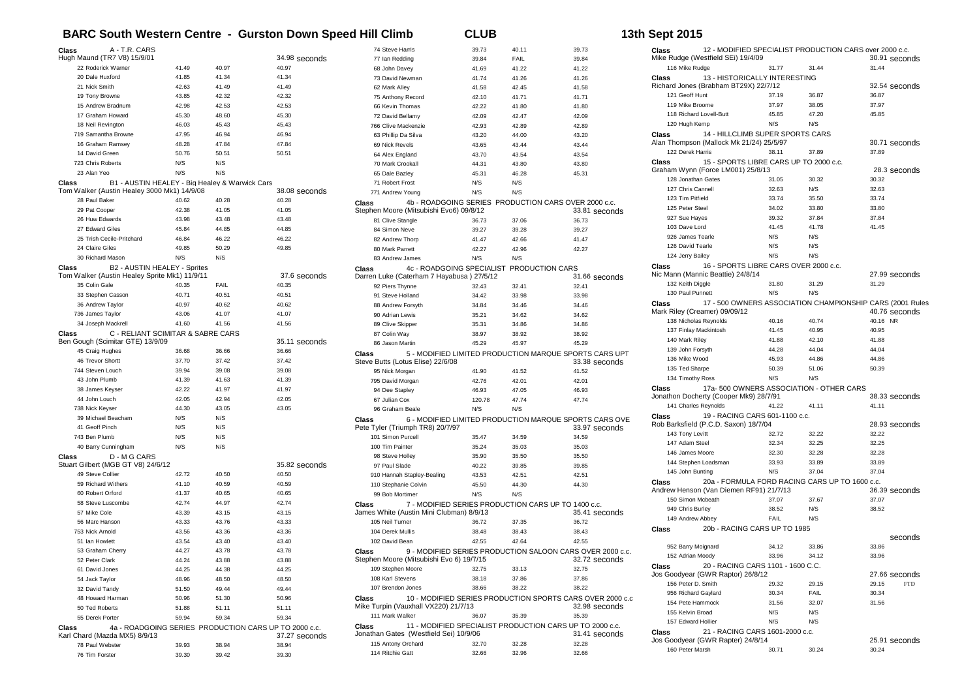## **BARC South Western Centre - Gurston Down Speed Hill Climb CLUB 13th Sept 2015**

| A - T.R. CARS<br>Class                                                         |       |                                                |                                                       | 74 Steve Harris                                   | 39.73                                               | 40.11 | 39.73                                                                      |
|--------------------------------------------------------------------------------|-------|------------------------------------------------|-------------------------------------------------------|---------------------------------------------------|-----------------------------------------------------|-------|----------------------------------------------------------------------------|
| Hugh Maund (TR7 V8) 15/9/01                                                    |       |                                                | 34.98 seconds                                         | 77 Ian Redding                                    | 39.84                                               | FAIL  | 39.84                                                                      |
| 22 Roderick Warner                                                             | 41.49 | 40.97                                          | 40.97                                                 | 68 John Davey                                     | 41.69                                               | 41.22 | 41.22                                                                      |
| 20 Dale Huxford                                                                | 41.85 | 41.34                                          | 41.34                                                 | 73 David Newman                                   | 41.74                                               | 41.26 | 41.26                                                                      |
| 21 Nick Smith                                                                  | 42.63 | 41.49                                          | 41.49                                                 | 62 Mark Alley                                     | 41.58                                               | 42.45 | 41.58                                                                      |
| 19 Tony Browne                                                                 | 43.85 | 42.32                                          | 42.32                                                 | 75 Anthony Record                                 | 42.10                                               | 41.71 | 41.71                                                                      |
| 15 Andrew Bradnum                                                              | 42.98 | 42.53                                          | 42.53                                                 | 66 Kevin Thomas                                   | 42.22                                               | 41.80 | 41.80                                                                      |
| 17 Graham Howard                                                               | 45.30 | 48.60                                          | 45.30                                                 |                                                   |                                                     |       |                                                                            |
|                                                                                |       |                                                |                                                       | 72 David Bellamy                                  | 42.09                                               | 42.47 | 42.09                                                                      |
| 18 Neil Revington                                                              | 46.03 | 45.43                                          | 45.43                                                 | 766 Clive Mackenzie                               | 42.93                                               | 42.89 | 42.89                                                                      |
| 719 Samantha Browne                                                            | 47.95 | 46.94                                          | 46.94                                                 | 63 Phillip Da Silva                               | 43.20                                               | 44.00 | 43.20                                                                      |
| 16 Graham Ramsey                                                               | 48.28 | 47.84                                          | 47.84                                                 | 69 Nick Revels                                    | 43.65                                               | 43.44 | 43.44                                                                      |
| 14 David Green                                                                 | 50.76 | 50.51                                          | 50.51                                                 | 64 Alex England                                   | 43.70                                               | 43.54 | 43.54                                                                      |
| 723 Chris Roberts                                                              | N/S   | N/S                                            |                                                       | 70 Mark Crookall                                  | 44.31                                               | 43.80 | 43.80                                                                      |
| 23 Alan Yeo                                                                    | N/S   | N/S                                            |                                                       | 65 Dale Bazley                                    | 45.31                                               | 46.28 | 45.31                                                                      |
| Class                                                                          |       | B1 - AUSTIN HEALEY - Big Healey & Warwick Cars |                                                       | 71 Robert Frost                                   | N/S                                                 | N/S   |                                                                            |
| Tom Walker (Austin Healey 3000 Mk1) 14/9/08                                    |       |                                                | 38.08 seconds                                         | 771 Andrew Young                                  | N/S                                                 | N/S   |                                                                            |
| 28 Paul Baker                                                                  | 40.62 | 40.28                                          | 40.28                                                 | <b>Class</b>                                      |                                                     |       | 4b - ROADGOING SERIES PRODUCTION CARS OVER 2000 c.c.                       |
| 29 Pat Cooper                                                                  | 42.38 | 41.05                                          | 41.05                                                 | Stephen Moore (Mitsubishi Evo6) 09/8/12           |                                                     |       | 33.81 seconds                                                              |
| 26 Huw Edwards                                                                 | 43.98 | 43.48                                          | 43.48                                                 | 81 Clive Stangle                                  | 36.73                                               | 37.06 | 36.73                                                                      |
| 27 Edward Giles                                                                | 45.84 | 44.85                                          | 44.85                                                 | 84 Simon Neve                                     | 39.27                                               | 39.28 | 39.27                                                                      |
| 25 Trish Cecile-Pritchard                                                      | 46.84 | 46.22                                          | 46.22                                                 | 82 Andrew Thorp                                   | 41.47                                               | 42.66 | 41.47                                                                      |
| 24 Claire Giles                                                                | 49.85 | 50.29                                          | 49.85                                                 | 80 Mark Parrett                                   | 42.27                                               | 42.96 | 42.27                                                                      |
| 30 Richard Mason                                                               | N/S   | N/S                                            |                                                       | 83 Andrew James                                   | N/S                                                 | N/S   |                                                                            |
| Class<br>B2 - AUSTIN HEALEY - Sprites                                          |       |                                                |                                                       | <b>Class</b>                                      | 4c - ROADGOING SPECIALIST PRODUCTION CARS           |       |                                                                            |
| Tom Walker (Austin Healey Sprite Mk1) 11/9/11                                  |       |                                                | 37.6 seconds                                          | Darren Luke (Caterham 7 Hayabusa) 27/5/12         |                                                     |       | 31.66 seconds                                                              |
| 35 Colin Gale                                                                  | 40.35 | FAIL                                           | 40.35                                                 | 92 Piers Thynne                                   | 32.43                                               | 32.41 | 32.41                                                                      |
| 33 Stephen Casson                                                              | 40.71 | 40.51                                          | 40.51                                                 | 91 Steve Holland                                  | 34.42                                               | 33.98 | 33.98                                                                      |
| 36 Andrew Taylor                                                               | 40.97 | 40.62                                          | 40.62                                                 | 88 Andrew Forsyth                                 | 34.84                                               | 34.46 | 34.46                                                                      |
| 736 James Taylor                                                               | 43.06 | 41.07                                          | 41.07                                                 | 90 Adrian Lewis                                   | 35.21                                               | 34.62 | 34.62                                                                      |
| 34 Joseph Mackrell                                                             | 41.60 | 41.56                                          | 41.56                                                 |                                                   |                                                     |       |                                                                            |
|                                                                                |       |                                                |                                                       | 89 Clive Skipper                                  | 35.31                                               | 34.86 | 34.86                                                                      |
| Class<br>C - RELIANT SCIMITAR & SABRE CARS<br>Ben Gough (Scimitar GTE) 13/9/09 |       |                                                | 35.11 seconds                                         | 87 Colin Way                                      | 38.97                                               | 38.92 | 38.92                                                                      |
| 45 Craig Hughes                                                                | 36.68 | 36.66                                          | 36.66                                                 | 86 Jason Martin                                   | 45.29                                               | 45.97 | 45.29                                                                      |
| 46 Trevor Shortt                                                               | 37.70 | 37.42                                          |                                                       | Class                                             |                                                     |       | 5 - MODIFIED LIMITED PRODUCTION MARQUE SPORTS CARS UPT                     |
|                                                                                |       |                                                | 37.42                                                 | Steve Butts (Lotus Elise) 22/6/08                 |                                                     |       | 33.38 seconds                                                              |
| 744 Steven Louch                                                               | 39.94 | 39.08                                          | 39.08                                                 | 95 Nick Morgan                                    | 41.90                                               | 41.52 | 41.52                                                                      |
| 43 John Plumb                                                                  | 41.39 | 41.63                                          | 41.39                                                 | 795 David Morgan                                  | 42.76                                               | 42.01 | 42.01                                                                      |
| 38 James Keyser                                                                | 42.22 | 41.97                                          | 41.97                                                 | 94 Dee Stapley                                    | 46.93                                               | 47.05 | 46.93                                                                      |
| 44 John Louch                                                                  | 42.05 | 42.94                                          | 42.05                                                 | 67 Julian Cox                                     | 120.78                                              | 47.74 | 47.74                                                                      |
| 738 Nick Keyser                                                                | 44.30 | 43.05                                          | 43.05                                                 | 96 Graham Beale                                   | N/S                                                 | N/S   |                                                                            |
| 39 Michael Beacham                                                             | N/S   | N/S                                            |                                                       | <b>Class</b>                                      |                                                     |       | 6 - MODIFIED LIMITED PRODUCTION MARQUE SPORTS CARS OVE                     |
| 41 Geoff Pinch                                                                 | N/S   | N/S                                            |                                                       | Pete Tyler (Triumph TR8) 20/7/97                  |                                                     |       | 33.97 seconds                                                              |
| 743 Ben Plumb                                                                  | N/S   | N/S                                            |                                                       | 101 Simon Purcell                                 | 35.47                                               | 34.59 | 34.59                                                                      |
| 40 Barry Cunningham                                                            | N/S   | N/S                                            |                                                       | 100 Tim Painter                                   | 35.24                                               | 35.03 | 35.03                                                                      |
| Class<br>D - M G CARS                                                          |       |                                                |                                                       | 98 Steve Holley                                   | 35.90                                               | 35.50 | 35.50                                                                      |
| Stuart Gilbert (MGB GT V8) 24/6/12                                             |       |                                                | 35.82 seconds                                         | 97 Paul Slade                                     | 40.22                                               | 39.85 | 39.85                                                                      |
| 49 Steve Collier                                                               | 42.72 | 40.50                                          | 40.50                                                 | 910 Hannah Stapley-Bealing                        | 43.53                                               | 42.51 | 42.51                                                                      |
| 59 Richard Withers                                                             | 41.10 | 40.59                                          | 40.59                                                 | 110 Stephanie Colvin                              | 45.50                                               | 44.30 | 44.30                                                                      |
| 60 Robert Orford                                                               | 41.37 | 40.65                                          | 40.65                                                 | 99 Bob Mortimer                                   | N/S                                                 | N/S   |                                                                            |
| 58 Steve Luscombe                                                              | 42.74 | 44.97                                          | 42.74                                                 | <b>Class</b>                                      | 7 - MODIFIED SERIES PRODUCTION CARS UP TO 1400 c.c. |       |                                                                            |
| 57 Mike Cole                                                                   | 43.39 | 43.15                                          | 43.15                                                 | James White (Austin Mini Clubman) 8/9/13          |                                                     |       | 35.41 seconds                                                              |
| 56 Marc Hanson                                                                 | 43.33 | 43.76                                          | 43.33                                                 | 105 Neil Turner                                   | 36.72                                               | 37.35 | 36.72                                                                      |
| 753 Nick Arnold                                                                | 43.56 | 43.36                                          | 43.36                                                 | 104 Derek Mullis                                  | 38.48                                               | 38.43 | 38.43                                                                      |
| 51 Ian Howlett                                                                 | 43.54 | 43.40                                          |                                                       | 102 David Bean                                    | 42.55                                               | 42.64 | 42.55                                                                      |
| 53 Graham Cherry                                                               | 44.27 | 43.78                                          | 43.40<br>43.78                                        |                                                   |                                                     |       |                                                                            |
| 52 Peter Clark                                                                 |       |                                                |                                                       | Class<br>Stephen Moore (Mitsubishi Evo 6) 19/7/15 |                                                     |       | 9 - MODIFIED SERIES PRODUCTION SALOON CARS OVER 2000 c.c.<br>32.72 seconds |
|                                                                                | 44.24 | 43.88                                          | 43.88                                                 |                                                   |                                                     |       |                                                                            |
| 61 David Jones                                                                 | 44.25 | 44.38                                          | 44.25                                                 | 109 Stephen Moore                                 | 32.75                                               | 33.13 | 32.75                                                                      |
| 54 Jack Taylor                                                                 | 48.96 | 48.50                                          | 48.50                                                 | 108 Karl Stevens                                  | 38.18                                               | 37.86 | 37.86                                                                      |
| 32 David Tandy                                                                 | 51.50 | 49.44                                          | 49.44                                                 | 107 Brendon Jones                                 | 38.66                                               | 38.22 | 38.22                                                                      |
| 48 Howard Harman                                                               | 50.96 | 51.30                                          | 50.96                                                 | Class                                             |                                                     |       | 10 - MODIFIED SERIES PRODUCTION SPORTS CARS OVER 2000 c.c                  |
| 50 Ted Roberts                                                                 | 51.88 | 51.11                                          | 51.11                                                 | Mike Turpin (Vauxhall VX220) 21/7/13              |                                                     |       | 32.98 seconds                                                              |
| 55 Derek Porter                                                                | 59.94 | 59.34                                          | 59.34                                                 | 111 Mark Walker                                   | 36.07                                               | 35.39 | 35.39                                                                      |
| Class                                                                          |       |                                                | 4a - ROADGOING SERIES PRODUCTION CARS UP TO 2000 c.c. | Class                                             |                                                     |       | 11 - MODIFIED SPECIALIST PRODUCTION CARS UP TO 2000 c.c.                   |
| Karl Chard (Mazda MX5) 8/9/13                                                  |       |                                                | 37.27 seconds                                         | Jonathan Gates (Westfield Sei) 10/9/06            |                                                     |       | 31.41 seconds                                                              |
| 78 Paul Webster                                                                |       |                                                |                                                       |                                                   |                                                     |       |                                                                            |
|                                                                                | 39.93 | 38.94                                          | 38.94                                                 | 115 Antony Orchard<br>114 Ritchie Gatt            | 32.70                                               | 32.28 | 32.28                                                                      |

| Class                                                                                 |                | 12 - MODIFIED SPECIALIST PRODUCTION CARS over 2000 c.c.   |                        |               |
|---------------------------------------------------------------------------------------|----------------|-----------------------------------------------------------|------------------------|---------------|
| Mike Rudge (Westfield SEi) 19/4/09<br>116 Mike Rudge                                  | 31.77<br>31.44 |                                                           | 30.91 seconds<br>31.44 |               |
| 13 - HISTORICALLY INTERESTING<br>Class                                                |                |                                                           |                        |               |
| Richard Jones (Brabham BT29X) 22/7/12                                                 |                |                                                           | 32.54 seconds          |               |
| 121 Geoff Hunt                                                                        | 37.19          | 36.87                                                     | 36.87                  |               |
| 119 Mike Broome                                                                       | 37.97          | 38.05                                                     | 37.97                  |               |
| 118 Richard Lovell-Butt                                                               | 45.85          | 47.20                                                     | 45.85                  |               |
| 120 Hugh Kemp                                                                         | N/S            | N/S                                                       |                        |               |
| 14 - HILLCLIMB SUPER SPORTS CARS<br>Class<br>Alan Thompson (Mallock Mk 21/24) 25/5/97 |                |                                                           |                        | 30.71 seconds |
| 122 Derek Harris                                                                      | 38.11          | 37.89                                                     | 37.89                  |               |
| 15 - SPORTS LIBRE CARS UP TO 2000 c.c.<br>Class                                       |                |                                                           |                        |               |
| Graham Wynn (Force LM001) 25/8/13                                                     |                |                                                           |                        | 28.3 seconds  |
| 128 Jonathan Gates                                                                    | 31.05          | 30.32                                                     | 30.32                  |               |
| 127 Chris Cannell                                                                     | 32.63          | N/S                                                       | 32.63                  |               |
| 123 Tim Pitfield                                                                      | 33.74          | 35.50                                                     | 33.74                  |               |
| 125 Peter Steel                                                                       | 34.02          | 33.80                                                     | 33.80                  |               |
| 927 Sue Hayes                                                                         | 39.32          | 37.84                                                     | 37.84                  |               |
| 103 Dave Lord<br>926 James Tearle                                                     | 41.45<br>N/S   | 41.78<br>N/S                                              | 41.45                  |               |
| 126 David Tearle                                                                      | N/S            | N/S                                                       |                        |               |
| 124 Jerry Bailey                                                                      | N/S            | N/S                                                       |                        |               |
| 16 - SPORTS LIBRE CARS OVER 2000 c.c.<br>Class                                        |                |                                                           |                        |               |
| Nic Mann (Mannic Beattie) 24/8/14                                                     |                |                                                           |                        | 27.99 seconds |
| 132 Keith Diggle                                                                      | 31.80          | 31.29                                                     | 31.29                  |               |
| 130 Paul Punnett                                                                      | N/S            | N/S                                                       |                        |               |
| Class                                                                                 |                | 17 - 500 OWNERS ASSOCIATION CHAMPIONSHIP CARS (2001 Rules |                        |               |
| Mark Riley (Creamer) 09/09/12                                                         |                |                                                           |                        | 40.76 seconds |
| 138 Nicholas Reynolds                                                                 | 40.16          | 40.74                                                     | 40.16 NR               |               |
| 137 Finlay Mackintosh                                                                 | 41.45          | 40.95                                                     | 40.95                  |               |
| 140 Mark Riley                                                                        | 41.88<br>44 28 | 42.10                                                     | 41.88<br>44.04         |               |
| 139 John Forsyth<br>136 Mike Wood                                                     | 45.93          | 44.04<br>44.86                                            | 44.86                  |               |
| 135 Ted Sharpe                                                                        | 50.39          | 51.06                                                     | 50.39                  |               |
| 134 Timothy Ross                                                                      | N/S            | N/S                                                       |                        |               |
| 17a-500 OWNERS ASSOCIATION - OTHER CARS<br>Class                                      |                |                                                           |                        |               |
| Jonathon Docherty (Cooper Mk9) 28/7/91                                                |                |                                                           |                        | 38.33 seconds |
| 141 Charles Reynolds                                                                  | 41.22          | 41.11                                                     | 41.11                  |               |
| 19 - RACING CARS 601-1100 c.c.<br>Class                                               |                |                                                           |                        |               |
| Rob Barksfield (P.C.D. Saxon) 18/7/04                                                 |                |                                                           |                        | 28.93 seconds |
| 143 Tony Levitt                                                                       | 32.72          | 32.22                                                     | 32.22                  |               |
| 147 Adam Steel                                                                        | 32.34          | 32.25                                                     | 32.25                  |               |
| 146 James Moore                                                                       | 32.30          | 32.28                                                     | 32.28                  |               |
| 144 Stephen Loadsman<br>145 John Bunting                                              | 33.93<br>N/S   | 33.89<br>37.04                                            | 33.89<br>37.04         |               |
| 20a - FORMULA FORD RACING CARS UP TO 1600 c.c.                                        |                |                                                           |                        |               |
| Class<br>Andrew Henson (Van Diemen RF91) 21/7/13                                      |                |                                                           |                        | 36.39 seconds |
| 150 Simon Mcbeath                                                                     | 37.07          | 37.67                                                     | 37.07                  |               |
| 949 Chris Burley                                                                      | 38.52          | N/S                                                       | 38.52                  |               |
| 149 Andrew Abbey                                                                      | FAIL           | N/S                                                       |                        |               |
| 20b - RACING CARS UP TO 1985<br>Class                                                 |                |                                                           |                        |               |
|                                                                                       |                |                                                           |                        | seconds       |
| 952 Barry Moignard                                                                    | 34.12          | 33.86                                                     | 33.86                  |               |
| 152 Adrian Moody                                                                      | 33.96          | 34.12                                                     | 33.96                  |               |
| 20 - RACING CARS 1101 - 1600 C.C.<br>Class                                            |                |                                                           |                        |               |
| Jos Goodyear (GWR Raptor) 26/8/12<br>156 Peter D. Smith                               | 29.15          | 27.66 seconds<br><b>FTD</b>                               |                        |               |
| 956 Richard Gaylard                                                                   | 29.32<br>30.34 | 29.15<br><b>FAIL</b>                                      | 30.34                  |               |
| 154 Pete Hammock                                                                      | 31.56          | 32.07                                                     | 31.56                  |               |
| 155 Kelvin Broad                                                                      | N/S            | N/S                                                       |                        |               |
| 157 Edward Hollier                                                                    | N/S            | N/S                                                       |                        |               |
| 21 - RACING CARS 1601-2000 c.c.<br>Class<br>Jos Goodyear (GWR Rapter) 24/8/14         |                |                                                           |                        | 25.91 seconds |

Peter Marsh 30.71 30.24 30.24